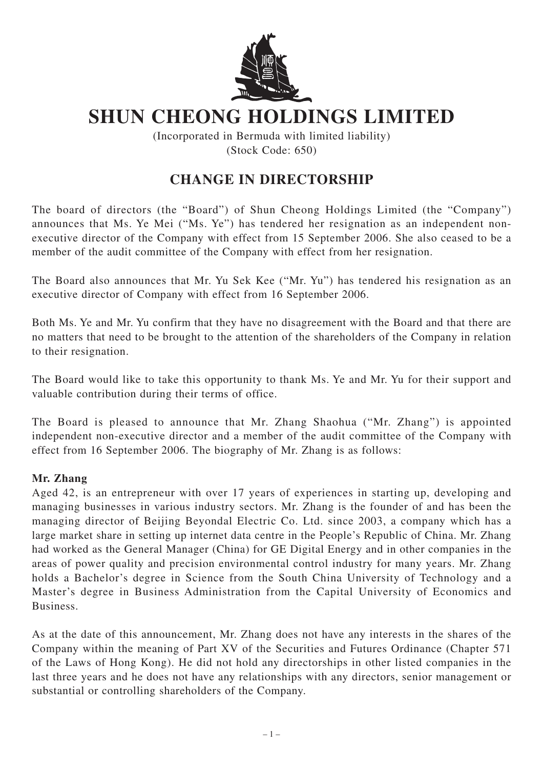

## **SHUN CHEONG HOLDINGS LIMITED**

(Incorporated in Bermuda with limited liability) (Stock Code: 650)

## **CHANGE IN DIRECTORSHIP**

The board of directors (the "Board") of Shun Cheong Holdings Limited (the "Company") announces that Ms. Ye Mei ("Ms. Ye") has tendered her resignation as an independent nonexecutive director of the Company with effect from 15 September 2006. She also ceased to be a member of the audit committee of the Company with effect from her resignation.

The Board also announces that Mr. Yu Sek Kee ("Mr. Yu") has tendered his resignation as an executive director of Company with effect from 16 September 2006.

Both Ms. Ye and Mr. Yu confirm that they have no disagreement with the Board and that there are no matters that need to be brought to the attention of the shareholders of the Company in relation to their resignation.

The Board would like to take this opportunity to thank Ms. Ye and Mr. Yu for their support and valuable contribution during their terms of office.

The Board is pleased to announce that Mr. Zhang Shaohua ("Mr. Zhang") is appointed independent non-executive director and a member of the audit committee of the Company with effect from 16 September 2006. The biography of Mr. Zhang is as follows:

## **Mr. Zhang**

Aged 42, is an entrepreneur with over 17 years of experiences in starting up, developing and managing businesses in various industry sectors. Mr. Zhang is the founder of and has been the managing director of Beijing Beyondal Electric Co. Ltd. since 2003, a company which has a large market share in setting up internet data centre in the People's Republic of China. Mr. Zhang had worked as the General Manager (China) for GE Digital Energy and in other companies in the areas of power quality and precision environmental control industry for many years. Mr. Zhang holds a Bachelor's degree in Science from the South China University of Technology and a Master's degree in Business Administration from the Capital University of Economics and Business.

As at the date of this announcement, Mr. Zhang does not have any interests in the shares of the Company within the meaning of Part XV of the Securities and Futures Ordinance (Chapter 571 of the Laws of Hong Kong). He did not hold any directorships in other listed companies in the last three years and he does not have any relationships with any directors, senior management or substantial or controlling shareholders of the Company.